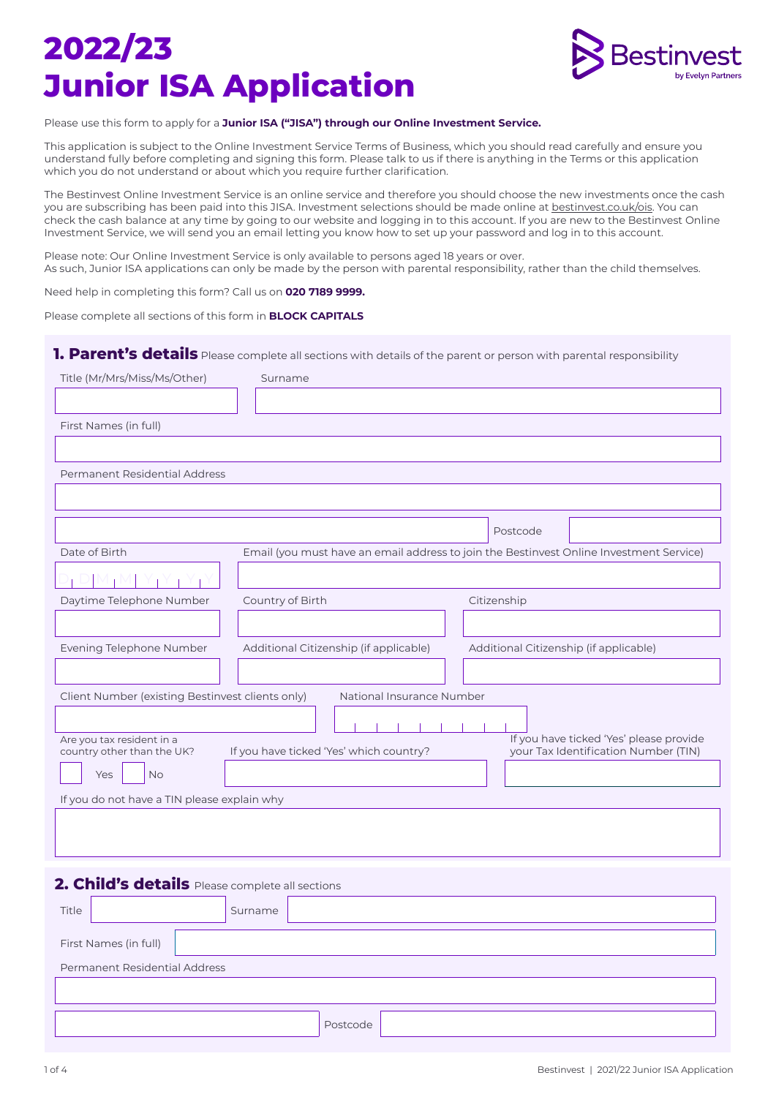# **2022/23 Junior ISA Application**



#### Please use this form to apply for a **Junior ISA ("JISA") through our Online Investment Service.**

This application is subject to the Online Investment Service Terms of Business, which you should read carefully and ensure you understand fully before completing and signing this form. Please talk to us if there is anything in the Terms or this application which you do not understand or about which you require further clarification.

The Bestinvest Online Investment Service is an online service and therefore you should choose the new investments once the cash you are subscribing has been paid into this JISA. Investment selections should be made online at bestinvest.co.uk/ois. You can check the cash balance at any time by going to our website and logging in to this account. If you are new to the Bestinvest Online Investment Service, we will send you an email letting you know how to set up your password and log in to this account.

Please note: Our Online Investment Service is only available to persons aged 18 years or over. As such, Junior ISA applications can only be made by the person with parental responsibility, rather than the child themselves.

Need help in completing this form? Call us on **020 7189 9999.**

Please complete all sections of this form in **BLOCK CAPITALS**

### **1. Parent's details** Please complete all sections with details of the parent or person with parental responsibility

| Title (Mr/Mrs/Miss/Ms/Other)                            | Surname                                                                                                                    |
|---------------------------------------------------------|----------------------------------------------------------------------------------------------------------------------------|
|                                                         |                                                                                                                            |
| First Names (in full)                                   |                                                                                                                            |
|                                                         |                                                                                                                            |
| Permanent Residential Address                           |                                                                                                                            |
|                                                         |                                                                                                                            |
|                                                         | Postcode                                                                                                                   |
| Date of Birth                                           | Email (you must have an email address to join the Bestinvest Online Investment Service)                                    |
|                                                         |                                                                                                                            |
| Daytime Telephone Number                                | Citizenship<br>Country of Birth                                                                                            |
|                                                         |                                                                                                                            |
| Evening Telephone Number                                | Additional Citizenship (if applicable)<br>Additional Citizenship (if applicable)                                           |
|                                                         |                                                                                                                            |
| Client Number (existing Bestinvest clients only)        | National Insurance Number                                                                                                  |
|                                                         |                                                                                                                            |
| Are you tax resident in a<br>country other than the UK? | If you have ticked 'Yes' please provide<br>If you have ticked 'Yes' which country?<br>your Tax Identification Number (TIN) |
| Yes<br><b>No</b>                                        |                                                                                                                            |
| If you do not have a TIN please explain why             |                                                                                                                            |
|                                                         |                                                                                                                            |
|                                                         |                                                                                                                            |
|                                                         |                                                                                                                            |
| 2. Child's details Please complete all sections         |                                                                                                                            |
| Title                                                   | Surname                                                                                                                    |

| First Names (in full)         |          |  |  |
|-------------------------------|----------|--|--|
| Permanent Residential Address |          |  |  |
|                               |          |  |  |
|                               |          |  |  |
|                               | Postcode |  |  |
|                               |          |  |  |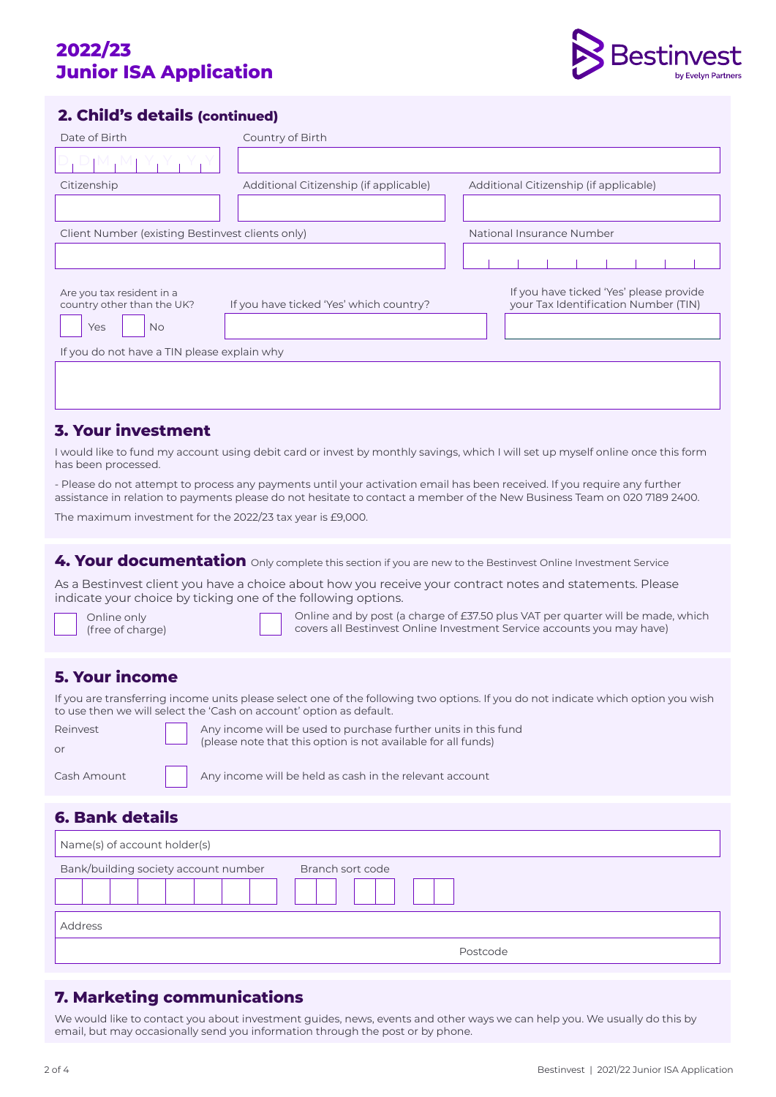# **2022/23 Junior ISA Application**



### **2. Child's details (continued)**

| Date of Birth                                                               | Country of Birth                        |                                                                                 |  |  |
|-----------------------------------------------------------------------------|-----------------------------------------|---------------------------------------------------------------------------------|--|--|
|                                                                             |                                         |                                                                                 |  |  |
| Citizenship                                                                 | Additional Citizenship (if applicable)  | Additional Citizenship (if applicable)                                          |  |  |
|                                                                             |                                         |                                                                                 |  |  |
| Client Number (existing Bestinvest clients only)                            |                                         | National Insurance Number                                                       |  |  |
|                                                                             |                                         |                                                                                 |  |  |
| Are you tax resident in a<br>country other than the UK?<br>Yes<br><b>No</b> | If you have ticked 'Yes' which country? | If you have ticked 'Yes' please provide<br>your Tax Identification Number (TIN) |  |  |
| If you do not have a TIN please explain why                                 |                                         |                                                                                 |  |  |
|                                                                             |                                         |                                                                                 |  |  |
|                                                                             |                                         |                                                                                 |  |  |

### **3. Your investment**

I would like to fund my account using debit card or invest by monthly savings, which I will set up myself online once this form has been processed.

- Please do not attempt to process any payments until your activation email has been received. If you require any further assistance in relation to payments please do not hesitate to contact a member of the New Business Team on 020 7189 2400.

The maximum investment for the 2022/23 tax year is £9,000.

**4. Your documentation** Only complete this section if you are new to the Bestinvest Online Investment Service

As a Bestinvest client you have a choice about how you receive your contract notes and statements. Please indicate your choice by ticking one of the following options.

Online only (free of charge) Online and by post (a charge of £37.50 plus VAT per quarter will be made, which covers all Bestinvest Online Investment Service accounts you may have)

## **5. Your income**

If you are transferring income units please select one of the following two options. If you do not indicate which option you wish to use then we will select the 'Cash on account' option as default.

| Reinvest<br>or | Any income will be used to purchase further units in this fund<br>(please note that this option is not available for all funds) |
|----------------|---------------------------------------------------------------------------------------------------------------------------------|
| Cash Amount    | Any income will be held as cash in the relevant account                                                                         |

 $\begin{array}{|c|c|} \hline \quad\quad \text{Any income will be held as cash in the relevant account} \hline \end{array}$ 

### **6. Bank details**

| Name(s) of account holder(s)         |                  |
|--------------------------------------|------------------|
| Bank/building society account number | Branch sort code |
|                                      |                  |
| Address                              |                  |
|                                      | Postcode         |

### **7. Marketing communications**

We would like to contact you about investment guides, news, events and other ways we can help you. We usually do this by email, but may occasionally send you information through the post or by phone.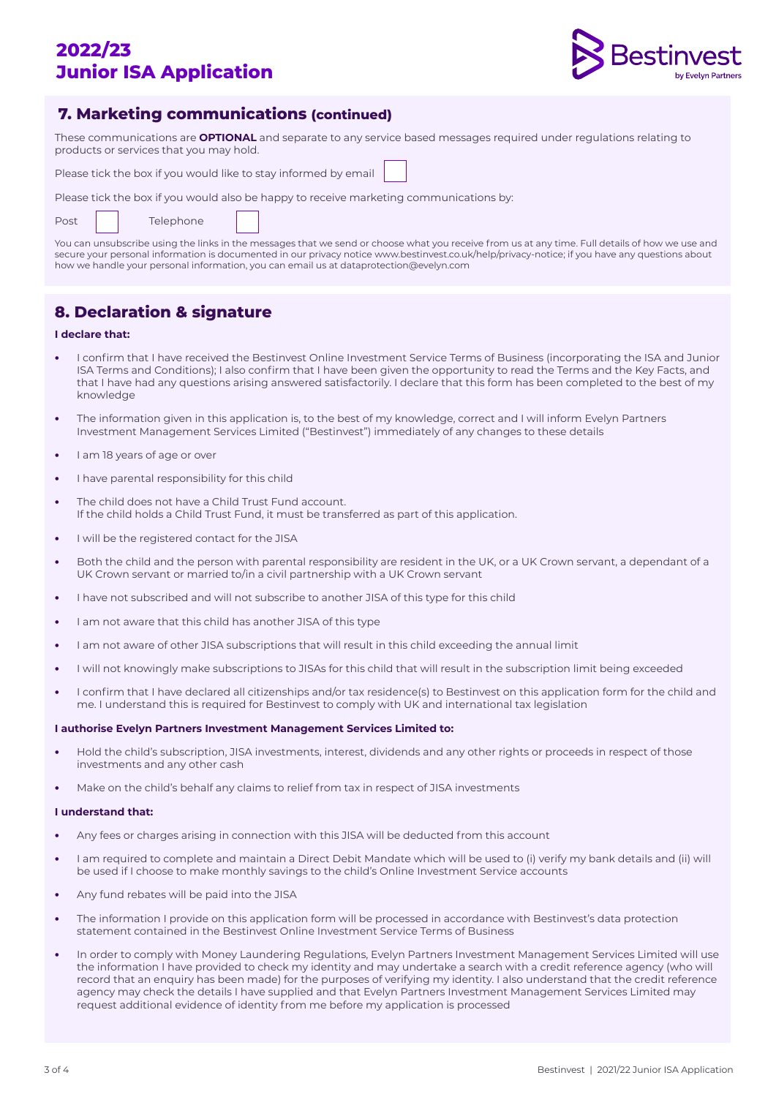# **2022/23 Junior ISA Application**



### **7. Marketing communications (continued)**

These communications are **OPTIONAL** and separate to any service based messages required under regulations relating to products or services that you may hold.

Please tick the box if you would like to stay informed by email

Please tick the box if you would also be happy to receive marketing communications by:

|  | Post |  | Telephone |
|--|------|--|-----------|
|--|------|--|-----------|

You can unsubscribe using the links in the messages that we send or choose what you receive from us at any time. Full details of how we use and secure your personal information is documented in our privacy notice www.bestinvest.co.uk/help/privacy-notice; if you have any questions about how we handle your personal information, you can email us at dataprotection@evelyn.com

## **8. Declaration & signature**

### **I declare that:**

- **•** I confirm that I have received the Bestinvest Online Investment Service Terms of Business (incorporating the ISA and Junior ISA Terms and Conditions); I also confirm that I have been given the opportunity to read the Terms and the Key Facts, and that I have had any questions arising answered satisfactorily. I declare that this form has been completed to the best of my knowledge
- **•** The information given in this application is, to the best of my knowledge, correct and I will inform Evelyn Partners Investment Management Services Limited ("Bestinvest") immediately of any changes to these details
- **•** I am 18 years of age or over
- **•** I have parental responsibility for this child
- **•** The child does not have a Child Trust Fund account. If the child holds a Child Trust Fund, it must be transferred as part of this application.
- **•** I will be the registered contact for the JISA
- **•** Both the child and the person with parental responsibility are resident in the UK, or a UK Crown servant, a dependant of a UK Crown servant or married to/in a civil partnership with a UK Crown servant
- **•** I have not subscribed and will not subscribe to another JISA of this type for this child
- **•** I am not aware that this child has another JISA of this type
- **•** I am not aware of other JISA subscriptions that will result in this child exceeding the annual limit
- **•** I will not knowingly make subscriptions to JISAs for this child that will result in the subscription limit being exceeded
- **•** I confirm that I have declared all citizenships and/or tax residence(s) to Bestinvest on this application form for the child and me. I understand this is required for Bestinvest to comply with UK and international tax legislation

#### **I authorise Evelyn Partners Investment Management Services Limited to:**

- **•** Hold the child's subscription, JISA investments, interest, dividends and any other rights or proceeds in respect of those investments and any other cash
- **•** Make on the child's behalf any claims to relief from tax in respect of JISA investments

### **I understand that:**

- **•** Any fees or charges arising in connection with this JISA will be deducted from this account
- **•** I am required to complete and maintain a Direct Debit Mandate which will be used to (i) verify my bank details and (ii) will be used if I choose to make monthly savings to the child's Online Investment Service accounts
- **•** Any fund rebates will be paid into the JISA
- **•** The information I provide on this application form will be processed in accordance with Bestinvest's data protection statement contained in the Bestinvest Online Investment Service Terms of Business
- **•** In order to comply with Money Laundering Regulations, Evelyn Partners Investment Management Services Limited will use the information I have provided to check my identity and may undertake a search with a credit reference agency (who will record that an enquiry has been made) for the purposes of verifying my identity. I also understand that the credit reference agency may check the details I have supplied and that Evelyn Partners Investment Management Services Limited may request additional evidence of identity from me before my application is processed